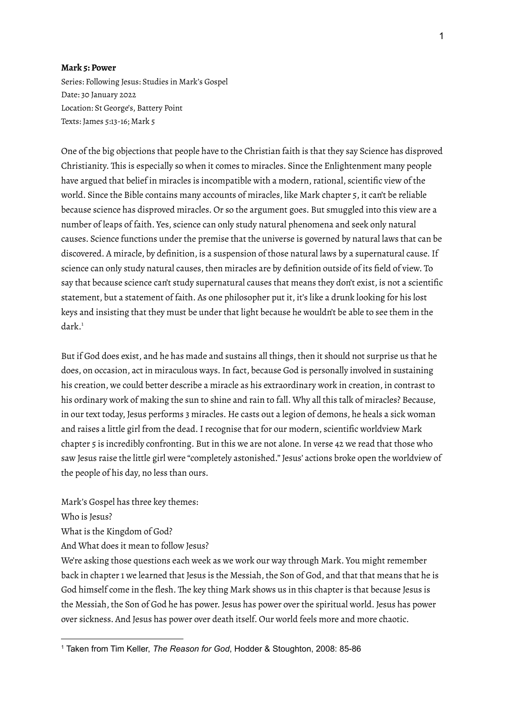## **Mark 5: Power**

Series: Following Jesus: Studies in Mark's Gospel Date: 30 January 2022 Location: St George's, Battery Point Texts: James 5:13-16; Mark 5

One of the big objections that people have to the Christian faith is that they say Science has disproved Christianity. This is especially so when it comes to miracles. Since the Enlightenment many people have argued that belief in miracles is incompatible with a modern, rational, scientific view of the world. Since the Bible contains many accounts of miracles, like Mark chapter 5, it can't be reliable because science has disproved miracles. Or so the argument goes. But smuggled into this view are a number of leaps of faith. Yes, science can only study natural phenomena and seek only natural causes. Science functions under the premise that the universe is governed by natural laws that can be discovered. A miracle, by definition, is a suspension of those natural laws by a supernatural cause.If science can only study natural causes, then miracles are by definition outside of its field of view. To say that because science can't study supernatural causes that means they don't exist, is not a scientific statement, but a statement of faith. As one philosopher put it, it's like a drunk looking for his lost keys and insisting that they must be under that light because he wouldn't be able to see them in the dark. 1

But if God does exist, and he has made and sustains all things, then it should not surprise us that he does, on occasion, act in miraculous ways. In fact, because God is personally involved in sustaining his creation, we could better describe a miracle as his extraordinary work in creation, in contrast to his ordinary work of making the sun to shine and rain to fall. Why all this talk of miracles? Because, in our text today, Jesus performs 3 miracles. He casts out a legion of demons, he heals a sick woman and raises a little girl from the dead. I recognise that for our modern, scientific worldview Mark chapter 5 is incredibly confronting. But in this we are not alone.In verse 42 we read that those who saw Jesus raise the little girl were "completely astonished." Jesus' actions broke open the worldview of the people of his day, no less than ours.

Mark's Gospel has three key themes:

Who is Jesus?

What is the Kingdom of God?

And What does it mean to follow Jesus?

We're asking those questions each week as we work our way through Mark. You might remember back in chapter 1 we learned that Jesus is the Messiah, the Son of God, and that that means that he is God himself come in the flesh. The key thing Mark shows us in this chapter is that because Jesus is the Messiah, the Son of God he has power. Jesus has power over the spiritual world. Jesus has power over sickness. And Jesus has power over death itself. Our world feels more and more chaotic.

<sup>1</sup> Taken from Tim Keller, *The Reason for God*, Hodder & Stoughton, 2008: 85-86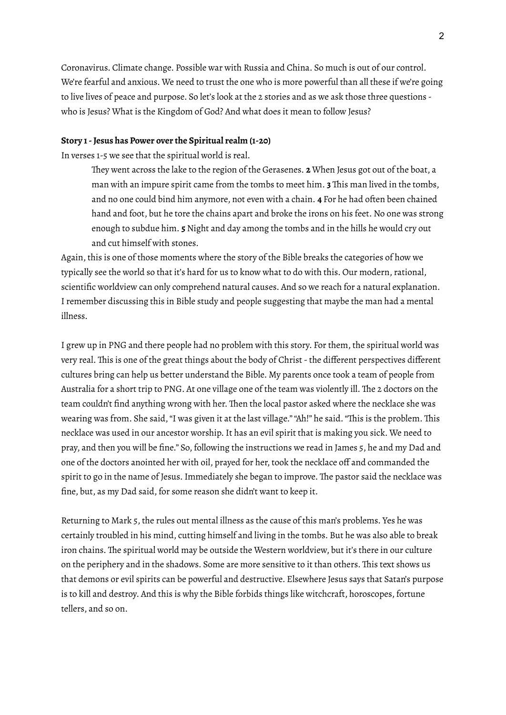Coronavirus. Climate change. Possible war with Russia and China. So much is out of our control. We're fearful and anxious. We need to trust the one who is more powerful than all these if we're going to live lives of peace and purpose. So let's look at the 2 stories and as we ask those three questions who is Jesus? What is the Kingdom of God? And what does it mean to follow Jesus?

## **Story 1-Jesus has Power over the Spiritual realm (1-20)**

In verses 1-5 we see that the spiritual world is real.

They went across the lake to the region of the Gerasenes. **2** When Jesus got out of the boat, a man with an impure spirit came from the tombs to meet him. **3** This man lived in the tombs, and no one could bind him anymore, not even with a chain. **4** For he had often been chained hand and foot, but he tore the chains apart and broke the irons on his feet. No one was strong enough to subdue him. **5** Night and day among the tombs and in the hills he would cry out and cut himself with stones.

Again, this is one of those moments where the story of the Bible breaks the categories of how we typically see the world so that it's hard for us to know what to do with this. Our modern, rational, scientific worldview can only comprehend natural causes. And so we reach for a natural explanation. I remember discussing this in Bible study and people suggesting that maybe the man had a mental illness.

I grew up in PNG and there people had no problem with this story. For them, the spiritual world was very real. This is one of the great things about the body of Christ-the different perspectives different cultures bring can help us better understand the Bible. My parents once took a team of people from Australia for a short trip to PNG. At one village one of the team was violently ill. The 2 doctors on the team couldn't find anything wrong with her. Then the local pastor asked where the necklace she was wearing was from. She said,"I was given it at the last village.""Ah!" he said."This is the problem. This necklace was used in our ancestor worship. It has an evil spirit that is making you sick. We need to pray, and then you will be fine." So, following the instructions we read in James 5, he and my Dad and one of the doctors anointed her with oil, prayed for her, took the necklace off and commanded the spirit to go in the name of Jesus.Immediately she began to improve. The pastor said the necklace was fine, but, as my Dad said, for some reason she didn't want to keep it.

Returning to Mark 5, the rules out mental illness as the cause of this man's problems. Yes he was certainly troubled in his mind, cutting himself and living in the tombs. But he was also able to break iron chains. The spiritual world may be outside the Western worldview, but it's there in our culture on the periphery and in the shadows. Some are more sensitive to it than others. This text shows us that demons or evil spirits can be powerful and destructive. Elsewhere Jesus says that Satan's purpose is to kill and destroy. And this is why the Bible forbids things like witchcraft, horoscopes, fortune tellers, and so on.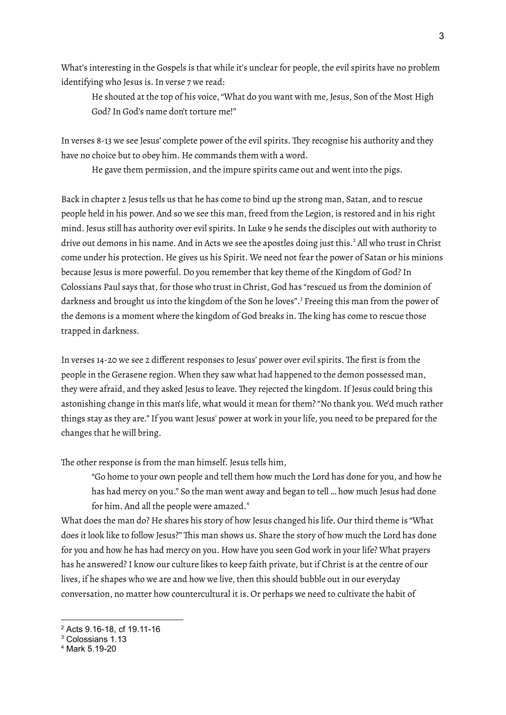What's interesting in the Gospels is that while it's unclear for people, the evil spirits have no problem identifying who Jesus is.In verse 7 we read:

He shouted at the top of his voice,"What do you want with me, Jesus, Son of the Most High God? In God's name don't torture me!"

In verses 8-13 we see Jesus' complete power of the evil spirits. They recognise his authority and they have no choice but to obey him. He commands them with a word.

He gave them permission, and the impure spirits came out and went into the pigs.

Back in chapter 2 Jesus tells us that he has come to bind up the strong man, Satan, and to rescue people held in his power. And so we see this man, freed from the Legion, is restored and in his right mind. Jesus still has authority over evil spirits.In Luke 9 he sends the disciples out with authority to drive out demons in his name. And in Acts we see the apostles doing just this. <sup>2</sup> All who trust in Christ come under his protection. He gives us his Spirit. We need not fear the power of Satan or his minions because Jesus is more powerful. Do you remember that key theme of the Kingdom of God? In Colossians Paul says that, for those who trust in Christ, God has "rescued us from the dominion of darkness and brought us into the kingdom of the Son he loves". <sup>3</sup> Freeing this man from the power of the demons is a moment where the kingdom of God breaks in. The king has come to rescue those trapped in darkness.

In verses 14-20 we see 2 different responses to Jesus' power over evil spirits. The first is from the people in the Gerasene region. When they saw what had happened to the demon possessed man, they were afraid, and they asked Jesus to leave. They rejected the kingdom. If Jesus could bring this astonishing change in this man's life, what would it mean for them?"No thank you. We'd much rather things stay as they are."If you want Jesus' power at work in your life, you need to be prepared for the changes that he will bring.

The other response is from the man himself. Jesus tells him,

"Go home to your own people and tell them how much the Lord has done for you, and how he has had mercy on you." So the man went away and began to tell … how much Jesus had done for him. And all the people were amazed. 4

What does the man do? He shares his story of how Jesus changed his life. Our third theme is "What does it look like to follow Jesus?" This man shows us. Share the story of how much the Lord has done for you and how he has had mercy on you. How have you seen God work in your life? What prayers has he answered? I know our culture likes to keep faith private, but if Christ is at the centre of our lives, if he shapes who we are and how we live, then this should bubble out in our everyday conversation, no matter how countercultural it is. Or perhaps we need to cultivate the habit of

<sup>2</sup> Acts 9.16-18, cf 19.11-16

<sup>3</sup> Colossians 1.13

<sup>4</sup> Mark 5.19-20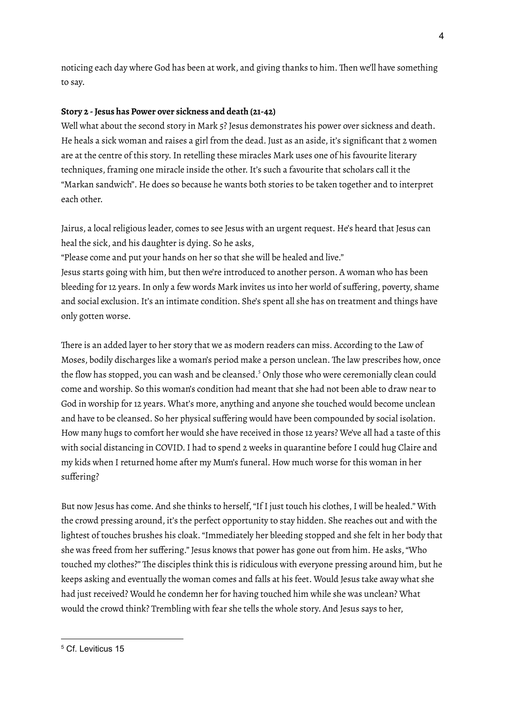noticing each day where God has been at work, and giving thanks to him. Then we'll have something to say.

## **Story 2 -Jesus has Power over sickness and death (21-42)**

Well what about the second story in Mark 5? Jesus demonstrates his power over sickness and death. He heals a sick woman and raises a girl from the dead. Just as an aside, it's significant that 2 women are at the centre of this story. In retelling these miracles Mark uses one of his favourite literary techniques, framing one miracle inside the other. It's such a favourite that scholars call it the "Markan sandwich". He does so because he wants both stories to be taken together and to interpret each other.

Jairus, a local religious leader, comes to see Jesus with an urgent request. He's heard that Jesus can heal the sick, and his daughter is dying. So he asks,

"Please come and put your hands on her so that she will be healed and live."

Jesus starts going with him, but then we're introduced to another person. A woman who has been bleeding for 12 years.In only a few words Mark invites us into her world of suffering, poverty, shame and social exclusion.It's an intimate condition. She's spent all she has on treatment and things have only gotten worse.

There is an added layer to her story that we as modern readers can miss. According to the Law of Moses, bodily discharges like a woman's period make a person unclean. The law prescribes how, once the flow has stopped, you can wash and be cleansed. <sup>5</sup> Only those who were ceremonially clean could come and worship. So this woman's condition had meant that she had not been able to draw near to God in worship for 12 years. What's more, anything and anyone she touched would become unclean and have to be cleansed. So her physical suffering would have been compounded by social isolation. How many hugs to comfort her would she have received in those 12 years? We've all had a taste of this with social distancing in COVID.I had to spend 2 weeks in quarantine before I could hug Claire and my kids when I returned home after my Mum's funeral. How much worse for this woman in her suffering?

But now Jesus has come. And she thinks to herself, "If I just touch his clothes, I will be healed." With the crowd pressing around, it's the perfect opportunity to stay hidden. She reaches out and with the lightest of touches brushes his cloak."Immediately her bleeding stopped and she felt in her body that she was freed from her suffering." Jesus knows that power has gone out from him. He asks,"Who touched my clothes?" The disciples think this is ridiculous with everyone pressing around him, but he keeps asking and eventually the woman comes and falls at his feet. Would Jesus take away what she had just received? Would he condemn her for having touched him while she was unclean? What would the crowd think? Trembling with fear she tells the whole story. And Jesus says to her,

<sup>5</sup> Cf. Leviticus 15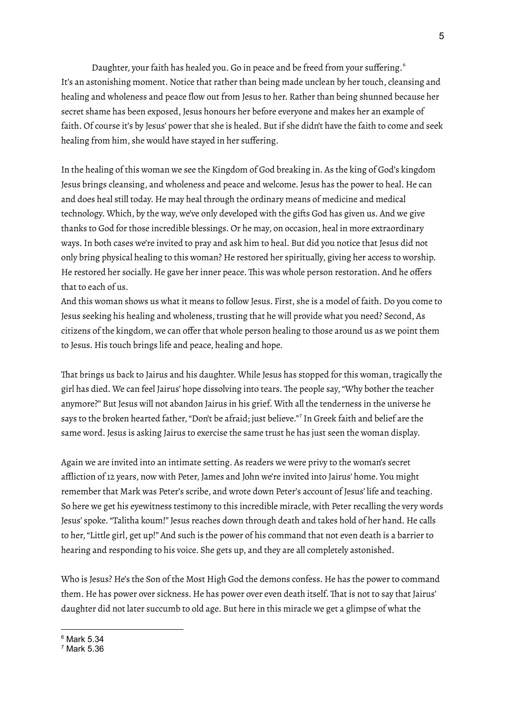Daughter, your faith has healed you. Go in peace and be freed from your suffering. 6 It's an astonishing moment. Notice that rather than being made unclean by her touch, cleansing and healing and wholeness and peace flow out from Jesus to her. Rather than being shunned because her secret shame has been exposed, Jesus honours her before everyone and makes her an example of faith. Of course it's by Jesus' power that she is healed. But if she didn't have the faith to come and seek healing from him, she would have stayed in her suffering.

In the healing of this woman we see the Kingdom of God breaking in. As the king of God's kingdom Jesus brings cleansing, and wholeness and peace and welcome. Jesus has the power to heal. He can and does heal still today. He may heal through the ordinary means of medicine and medical technology. Which, by the way, we've only developed with the gifts God has given us. And we give thanks to God for those incredible blessings. Or he may, on occasion, heal in more extraordinary ways.In both cases we're invited to pray and ask him to heal. But did you notice that Jesus did not only bring physical healing to this woman? He restored her spiritually, giving her access to worship. He restored her socially. He gave her inner peace. This was whole person restoration. And he offers that to each of us.

And this woman shows us what it means to follow Jesus. First, she is a model of faith. Do you come to Jesus seeking his healing and wholeness, trusting that he will provide what you need? Second, As citizens of the kingdom, we can offer that whole person healing to those around us as we point them to Jesus. His touch brings life and peace, healing and hope.

That brings us back to Jairus and his daughter. While Jesus has stopped for this woman, tragically the girl has died. We can feel Jairus' hope dissolving into tears. The people say,"Why bother the teacher anymore?" But Jesus will not abandon Jairus in his grief. With all the tenderness in the universe he says to the broken hearted father, "Don't be afraid; just believe."<sup>7</sup> In Greek faith and belief are the same word. Jesus is asking Jairus to exercise the same trust he has just seen the woman display.

Again we are invited into an intimate setting. As readers we were privy to the woman's secret affliction of 12 years, now with Peter, James and John we're invited into Jairus' home. You might remember that Mark was Peter's scribe, and wrote down Peter's account of Jesus' life and teaching. So here we get his eyewitness testimony to this incredible miracle, with Peter recalling the very words Jesus' spoke."Talitha koum!" Jesus reaches down through death and takes hold of her hand. He calls to her,"Little girl, get up!" And such is the power of his command that not even death is a barrier to hearing and responding to his voice. She gets up, and they are all completely astonished.

Who is Jesus? He's the Son of the Most High God the demons confess. He has the power to command them. He has power over sickness. He has power over even death itself. That is not to say that Jairus' daughter did not later succumb to old age. But here in this miracle we get a glimpse of what the

 $6$  Mark 5.34

<sup>7</sup> Mark 5.36